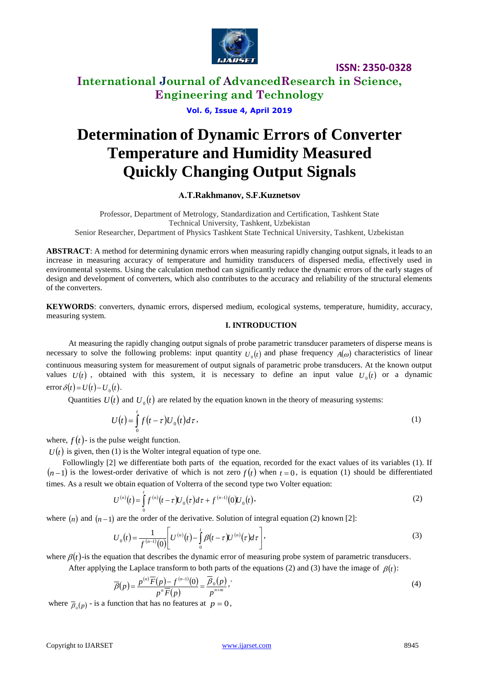

## **International Journal of AdvancedResearch in Science, Engineering and Technology**

**Vol. 6, Issue 4, April 2019**

# **Determination of Dynamic Errors of Converter Temperature and Humidity Measured Quickly Changing Output Signals**

**А.Т.Rakhmanov, S.F.Kuznetsov** 

Professor, Department of Metrology, Standardization and Certification, Tashkent State Technical University, Tashkent, Uzbekistan Senior Researcher, Department of Physics Tashkent State Technical University, Tashkent, Uzbekistan

**ABSTRACT**: A method for determining dynamic errors when measuring rapidly changing output signals, it leads to an increase in measuring accuracy of temperature and humidity transducers of dispersed media, effectively used in environmental systems. Using the calculation method can significantly reduce the dynamic errors of the early stages of design and development of converters, which also contributes to the accuracy and reliability of the structural elements of the converters.

**KEYWORDS**: converters, dynamic errors, dispersed medium, ecological systems, temperature, humidity, accuracy, measuring system.

#### **I. INTRODUCTION**

 At measuring the rapidly changing output signals of probe parametric transducer parameters of disperse means is necessary to solve the following problems: input quantity  $U_0(t)$  and phase frequency  $A(\omega)$  characteristics of linear continuous measuring system for measurement of output signals of parametric probe transducers. At the known output values  $U(t)$ , obtained with this system, it is necessary to define an input value  $U_0(t)$  or a dynamic  $error \delta(t) = U(t) - U_0(t).$ 

Quantities  $U(t)$  and  $U_0(t)$  are related by the equation known in the theory of measuring systems:

$$
U(t) = \int_{0}^{t} f(t - \tau) U_0(t) d\tau, \qquad (1)
$$

where,  $f(t)$ - is the pulse weight function.

 $U(t)$  is given, then (1) is the Wolter integral equation of type one.

 Followlingly [2] we differentiate both parts of the equation, recorded for the exact values of its variables (1). If  $(n-1)$  is the lowest-order derivative of which is not zero  $f(t)$  when  $t=0$ , is equation (1) should be differentiated times. As a result we obtain equation of Volterra of the second type two Volter equation:

$$
U^{(n)}(t) = \int_{0}^{t} f^{(n)}(t-\tau) U_0(\tau) d\tau + f^{(n-1)}(0) U_0(t), \qquad (2)
$$

where  $(n)$  and  $(n-1)$  are the order of the derivative. Solution of integral equation (2) known [2]:

$$
U_0(t) = \frac{1}{f^{(n-1)}(0)} \left[ U^{(n)}(t) - \int_0^t \beta(t - \tau) U^{(n)}(\tau) d\tau \right],
$$
\n(3)

where  $\beta(t)$ -is the equation that describes the dynamic error of measuring probe system of parametric transducers.

After applying the Laplace transform to both parts of the equations (2) and (3) have the image of  $\beta(t)$ :

$$
\overline{\beta}(p) = \frac{p^{(n)}\overline{F}(p) - f^{(n-1)}(0)}{p^n \overline{F}(p)} = \frac{\overline{\beta}_0(p)}{p^{n+m}},
$$
\n(4)

where  $\bar{\beta}_0(p)$  - is a function that has no features at  $p = 0$ ,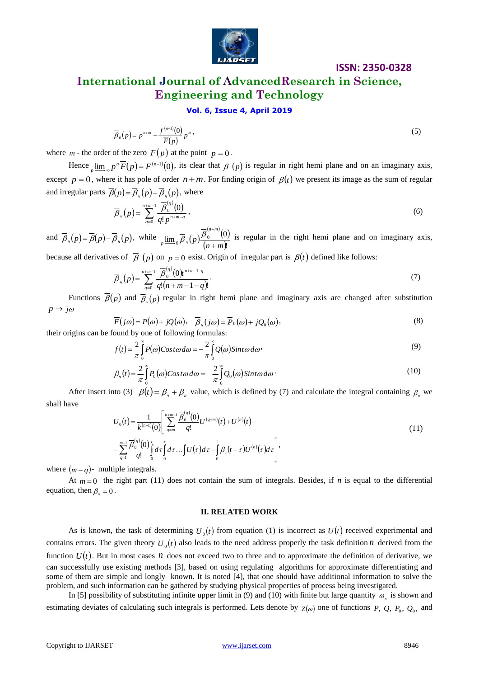

# **International Journal of AdvancedResearch in Science, Engineering and Technology**

#### **Vol. 6, Issue 4, April 2019**

$$
\overline{\beta}_0(p) = p^{n+m} - \frac{f^{(n-1)}(0)}{\overline{F}(p)} p^m,
$$
\n
$$
(5)
$$

where *m* - the order of the zero  $F(p)$  at the point  $p = 0$ .

Hence  $\lim_{p \to \infty} p^n \overline{F}(p) = F^{(n-1)}(0)$ , its clear that  $\overline{\beta}(p)$  is regular in right hemi plane and on an imaginary axis, except  $p = 0$ , where it has pole of order  $n + m$ . For finding origin of  $\beta(t)$  we present its image as the sum of regular and irregular parts  $\overline{\beta}(p) = \overline{\beta}_n(p) + \overline{\beta}_n(p)$ , where

$$
\overline{\beta}_n(p) = \sum_{q=0}^{n+m-1} \frac{\overline{\beta}_0^{(q)}(0)}{q! p^{n+m-q}},
$$
\n(6)

and  $\overline{\beta}_u(p) = \overline{\beta}(p) - \overline{\beta}_u(p)$ , while  $\lim_{p \to \infty} \overline{\beta}_u(p)$ .  $\binom{(n+m)}{0}$  $(n+m)!$  $\underline{\lim}_{0} \overline{\beta}_u(p) \frac{\beta_0^{(n+m)}}{(n+m)!}$ *n m*  $p \stackrel{\text{def}}{=} 0 \stackrel{p}{\rightarrow} (p') \frac{p}{n+1}$  $\overline{\beta}_{u}(p) \frac{\overline{\beta}_{0}^{(n+m)}(0)}{\overline{\beta}_{u}(p)}$  is regular in the right hemi plane and on imaginary axis, because all derivatives of  $\overline{\beta}$  (p) on  $p=0$  exist. Origin of irregular part is  $\beta(t)$  defined like follows:

$$
\overline{\beta}_n(p) = \sum_{q=0}^{n+m-1} \frac{\overline{\beta}_0^{(q)}(0) t^{n+m-1-q}}{q!(n+m-1-q)!}.
$$
\n(7)

Functions  $\overline{\beta}(p)$  and  $\overline{\beta}_n(p)$  regular in right hemi plane and imaginary axis are changed after substitution  $p \rightarrow j\omega$ 

$$
\overline{F}(j\omega) = P(\omega) + jQ(\omega), \quad \overline{\beta}_u(j\omega) = \overline{P}_0(\omega) + jQ_0(\omega),
$$
\n
$$
\text{their origins can be found by one of following formulas:}\tag{8}
$$

their origins can be found by one of following formulas:

$$
f(t) = \frac{2}{\pi} \int_{0}^{\infty} P(\omega) \cos t \omega \, d\omega = -\frac{2}{\pi} \int_{0}^{\infty} Q(\omega) \sin t \omega \, d\omega
$$
\n<sup>(9)</sup>

$$
\beta_u(t) = \frac{2}{\pi} \int_0^\infty P_0(\omega) \cos t \omega d\omega = -\frac{2}{\pi} \int_0^\infty Q_0(\omega) \sin t \omega d\omega \tag{10}
$$

After insert into (3)  $\beta(t) = \beta_{u} + \beta_{u}$  value, which is defined by (7) and calculate the integral containing  $\beta_{u}$  we shall have

$$
U_0(t) = \frac{1}{k^{(n-1)}(0)} \left[ \sum_{q=m}^{n+m-1} \frac{\overline{\beta}_0^{(q)}(0)}{q!} U^{(q-m)}(t) + U^{(n)}(t) - \right]
$$
  

$$
-\sum_{q=1}^{m-1} \frac{\overline{\beta}_0^{(q)}(0)}{q!} \int_0^t d\tau \int_0^t d\tau \dots \int U(\tau) d\tau - \int_0^t \beta_u(t-\tau) U^{(n)}(\tau) d\tau \right],
$$
(11)

where  $(m - q)$ - multiple integrals.

At  $m = 0$  the right part (11) does not contain the sum of integrals. Besides, if *n* is equal to the differential equation, then  $\beta_{\nu} = 0$ .

#### **II. RELATED WORK**

As is known, the task of determining  $U_0(t)$  from equation (1) is incorrect as  $U(t)$  received experimental and contains errors. The given theory  $U_0(t)$  also leads to the need address properly the task definition *n* derived from the function  $U(t)$ . But in most cases *n* does not exceed two to three and to approximate the definition of derivative, we can successfully use existing methods [3], based on using regulating algorithms for approximate differentiating and some of them are simple and longly known. It is noted [4], that one should have additional information to solve the problem, and such information can be gathered by studying physical properties of process being investigated.

In [5] possibility of substituting infinite upper limit in (9) and (10) with finite but large quantity  $\omega_n$  is shown and estimating deviates of calculating such integrals is performed. Lets denote by  $Z(\omega)$  one of functions P, Q, P<sub>0</sub>, Q<sub>0</sub>, and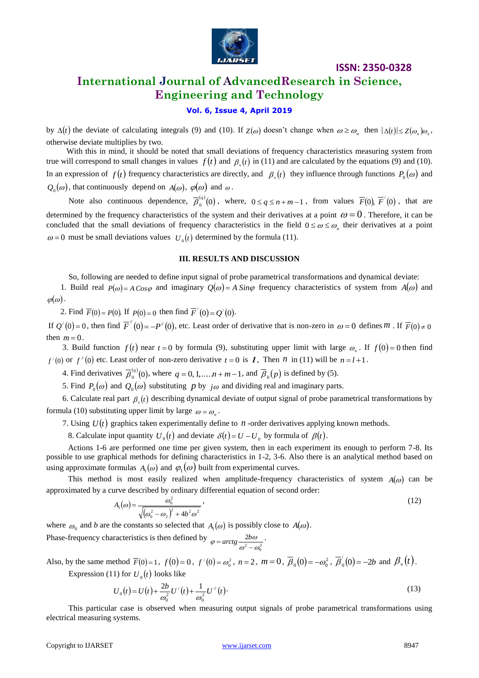

### **International Journal of AdvancedResearch in Science, Engineering and Technology**

#### **Vol. 6, Issue 4, April 2019**

by  $\Delta(t)$  the deviate of calculating integrals (9) and (10). If  $Z(\omega)$  doesn't change when  $\omega \ge \omega_n$  then  $|\Delta(t)| \le Z(\omega_n)\omega_n$ , | otherwise deviate multiplies by two.

With this in mind, it should be noted that small deviations of frequency characteristics measuring system from true will correspond to small changes in values  $f(t)$  and  $\beta_{\eta}(t)$  in (11) and are calculated by the equations (9) and (10). In an expression of  $f(t)$  frequency characteristics are directly, and  $\beta_{\nu}(t)$  they influence through functions  $P_0(\omega)$  and  $Q_0(\omega)$ , that continuously depend on  $A(\omega)$ ,  $\varphi(\omega)$  and  $\omega$ .

Note also continuous dependence,  $\overline{\beta}_0^{(q)}(0)$ , where,  $0 \le q \le n+m-1$ , from values  $\overline{F}(0)$ ,  $\overline{F}'(0)$ , that are determined by the frequency characteristics of the system and their derivatives at a point  $\omega = 0$ . Therefore, it can be concluded that the small deviations of frequency characteristics in the field  $0 \le \omega \le \omega_n$  their derivatives at a point  $\omega = 0$  must be small deviations values  $U_0(t)$  determined by the formula (11).

#### **III. RESULTS AND DISCUSSION**

So, following are needed to define input signal of probe parametrical transformations and dynamical deviate:

1. Build real  $P(\omega) = A \cos \varphi$  and imaginary  $Q(\omega) = A \sin \varphi$  frequency characteristics of system from  $A(\omega)$  and  $\varphi(\omega)$ .

2. Find  $\overline{F}(0) = P(0)$ . If  $P(0) = 0$  then find  $\overline{F}'(0) = Q'(0)$ .

If  $Q'(0) = 0$ , then find  $\overline{F}''(0) = -P''(0)$ , etc. Least order of derivative that is non-zero in  $\omega = 0$  defines *m*. If  $\overline{F}(0) \neq 0$ then  $m = 0$ .

3. Build function  $f(t)$  near  $t = 0$  by formula (9), substituting upper limit with large  $\omega_n$ . If  $f(0) = 0$  then find  $f'(0)$  or  $f''(0)$  etc. Least order of non-zero derivative  $t = 0$  is Z. Then n in (11) will be  $n = l + 1$ .

4. Find derivatives  $\overline{\beta}_0^{(q)}(0)$ , where  $q = 0, 1, ..., n + m - 1$ , and  $\overline{\beta}_0(p)$  is defined by (5).

5. Find  $P_0(\omega)$  and  $Q_0(\omega)$  substituting p by  $j\omega$  and dividing real and imaginary parts.

6. Calculate real part  $\beta_{\nu}(t)$  describing dynamical deviate of output signal of probe parametrical transformations by formula (10) substituting upper limit by large  $\omega = \omega_n$ .

7. Using  $U(t)$  graphics taken experimentally define to *n* -order derivatives applying known methods.

8. Calculate input quantity  $U_0(t)$  and deviate  $\delta(t) = U - U_0$  by formula of  $\beta(t)$ .

Actions 1-6 are performed one time per given system, then in each experiment its enough to perform 7-8. Its possible to use graphical methods for defining characteristics in 1-2, 3-6. Also there is an analytical method based on using approximate formulas  $A_1(\omega)$  and  $\varphi_1(\omega)$  built from experimental curves.

This method is most easily realized when amplitude-frequency characteristics of system  $A(\omega)$  can be approximated by a curve described by ordinary differential equation of second order:

$$
A_1(\omega) = \frac{\omega_0^2}{\sqrt{(\omega_0^2 - \omega_2)^2 + 4b^2 \omega^2}},
$$
\n(12)

where  $\omega_0$  and *b* are the constants so selected that  $A_1(\omega)$  is possibly close to  $A(\omega)$ .

Phase-frequency characteristics is then defined by  $\varphi = \arctg \frac{2b\omega}{\omega^2 - \omega_0^2}$  $\omega^-$  –  $\omega_c$  $\varphi = \arctg \frac{2b\omega}{\omega^2 - \omega_0^2}$ .

Also, by the same method  $\bar{F}(0) = 1$ ,  $f(0) = 0$ ,  $f'(0) = \omega_0^2$ ,  $n = 2$ ,  $m = 0$ ,  $\bar{\beta}_0(0) = -\omega_0^2$ ,  $\bar{\beta}_0'(0) = -2b$  and  $\beta_u(t)$ . Expression (11) for  $U_0(t)$  looks like

 $U_0(t) = U(t) + \frac{2b}{\omega_0^2} U'(t) + \frac{1}{\omega_0^2} U''(t)$  $_0(t) = U(t) + \frac{2b}{\omega_0^2}U'(t) + \frac{1}{\omega_0^2}$  $= U(t) + \frac{2b}{\omega_0^2} U'(t) + \frac{1}{\omega_0^2} U''(t)$  (13)

 This particular case is observed when measuring output signals of probe parametrical transformations using electrical measuring systems.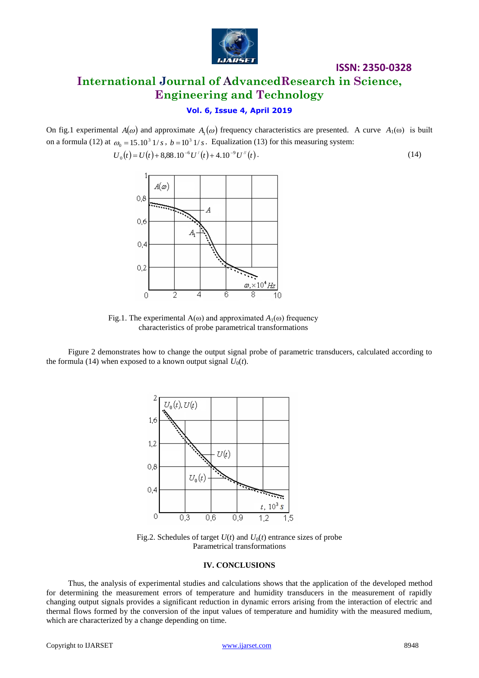

# **International Journal of AdvancedResearch in Science, Engineering and Technology**

### **Vol. 6, Issue 4, April 2019**

On fig.1 experimental  $A(\omega)$  and approximate  $A_1(\omega)$  frequency characteristics are presented. A curve  $A_1(\omega)$  is built on a formula (12) at  $\omega_0 = 15.10^3$  1/*s*,  $b = 10^3$  1/*s*. Equalization (13) for this measuring system:

$$
U_0(t) = U(t) + 8,88.10^{-6} U'(t) + 4.10^{-9} U''(t). \tag{14}
$$



Fig.1. The experimental  $A(\omega)$  and approximated  $A_1(\omega)$  frequency characteristics of probe parametrical transformations

Figure 2 demonstrates how to change the output signal probe of parametric transducers, calculated according to the formula (14) when exposed to a known output signal  $U_0(t)$ .



Fig.2. Schedules of target  $U(t)$  and  $U_0(t)$  entrance sizes of probe Parametrical transformations

#### **IV. СONCLUSIONS**

Thus, the analysis of experimental studies and calculations shows that the application of the developed method for determining the measurement errors of temperature and humidity transducers in the measurement of rapidly changing output signals provides a significant reduction in dynamic errors arising from the interaction of electric and thermal flows formed by the conversion of the input values of temperature and humidity with the measured medium, which are characterized by a change depending on time.